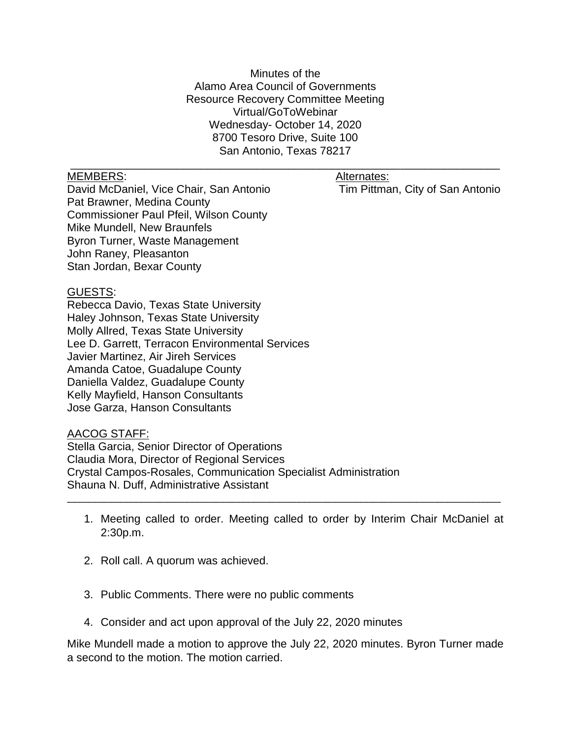Minutes of the Alamo Area Council of Governments Resource Recovery Committee Meeting Virtual/GoToWebinar Wednesday- October 14, 2020 8700 Tesoro Drive, Suite 100 San Antonio, Texas 78217

\_\_\_\_\_\_\_\_\_\_\_\_\_\_\_\_\_\_\_\_\_\_\_\_\_\_\_\_\_\_\_\_\_\_\_\_\_\_\_\_\_\_\_\_\_\_\_\_\_\_\_\_\_\_\_\_\_\_\_\_\_\_\_\_\_\_\_\_\_

## MEMBERS: Alternates: Alternates:

David McDaniel, Vice Chair, San Antonio Tim Pittman, City of San Antonio Pat Brawner, Medina County Commissioner Paul Pfeil, Wilson County Mike Mundell, New Braunfels Byron Turner, Waste Management John Raney, Pleasanton Stan Jordan, Bexar County

## GUESTS:

Rebecca Davio, Texas State University Haley Johnson, Texas State University Molly Allred, Texas State University Lee D. Garrett, Terracon Environmental Services Javier Martinez, Air Jireh Services Amanda Catoe, Guadalupe County Daniella Valdez, Guadalupe County Kelly Mayfield, Hanson Consultants Jose Garza, Hanson Consultants

## AACOG STAFF:

Stella Garcia, Senior Director of Operations Claudia Mora, Director of Regional Services Crystal Campos-Rosales, Communication Specialist Administration Shauna N. Duff, Administrative Assistant

1. Meeting called to order. Meeting called to order by Interim Chair McDaniel at 2:30p.m.

\_\_\_\_\_\_\_\_\_\_\_\_\_\_\_\_\_\_\_\_\_\_\_\_\_\_\_\_\_\_\_\_\_\_\_\_\_\_\_\_\_\_\_\_\_\_\_\_\_\_\_\_\_\_\_\_\_\_\_\_\_\_\_\_\_\_\_\_\_\_\_\_\_\_\_\_\_\_\_\_\_\_\_\_\_

- 2. Roll call. A quorum was achieved.
- 3. Public Comments. There were no public comments
- 4. Consider and act upon approval of the July 22, 2020 minutes

Mike Mundell made a motion to approve the July 22, 2020 minutes. Byron Turner made a second to the motion. The motion carried.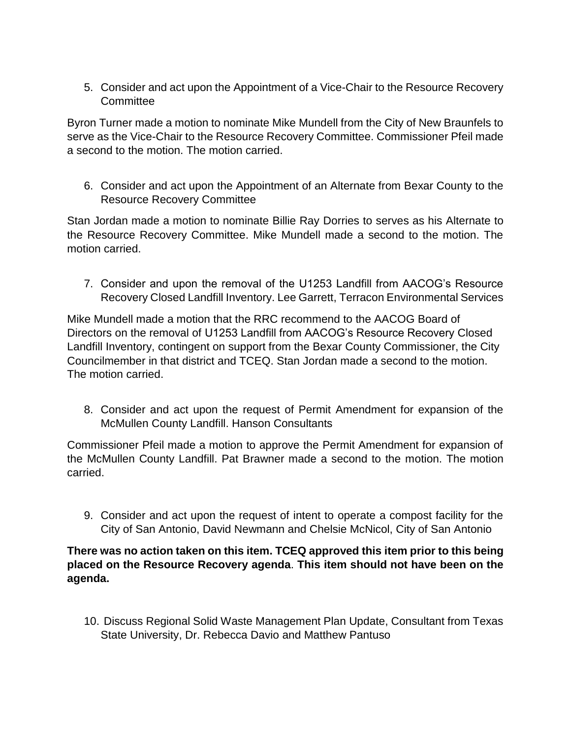5. Consider and act upon the Appointment of a Vice-Chair to the Resource Recovery **Committee** 

Byron Turner made a motion to nominate Mike Mundell from the City of New Braunfels to serve as the Vice-Chair to the Resource Recovery Committee. Commissioner Pfeil made a second to the motion. The motion carried.

6. Consider and act upon the Appointment of an Alternate from Bexar County to the Resource Recovery Committee

Stan Jordan made a motion to nominate Billie Ray Dorries to serves as his Alternate to the Resource Recovery Committee. Mike Mundell made a second to the motion. The motion carried.

7. Consider and upon the removal of the U1253 Landfill from AACOG's Resource Recovery Closed Landfill Inventory. Lee Garrett, Terracon Environmental Services

Mike Mundell made a motion that the RRC recommend to the AACOG Board of Directors on the removal of U1253 Landfill from AACOG's Resource Recovery Closed Landfill Inventory, contingent on support from the Bexar County Commissioner, the City Councilmember in that district and TCEQ. Stan Jordan made a second to the motion. The motion carried.

8. Consider and act upon the request of Permit Amendment for expansion of the McMullen County Landfill. Hanson Consultants

Commissioner Pfeil made a motion to approve the Permit Amendment for expansion of the McMullen County Landfill. Pat Brawner made a second to the motion. The motion carried.

9. Consider and act upon the request of intent to operate a compost facility for the City of San Antonio, David Newmann and Chelsie McNicol, City of San Antonio

## **There was no action taken on this item. TCEQ approved this item prior to this being placed on the Resource Recovery agenda**. **This item should not have been on the agenda.**

10. Discuss Regional Solid Waste Management Plan Update, Consultant from Texas State University, Dr. Rebecca Davio and Matthew Pantuso